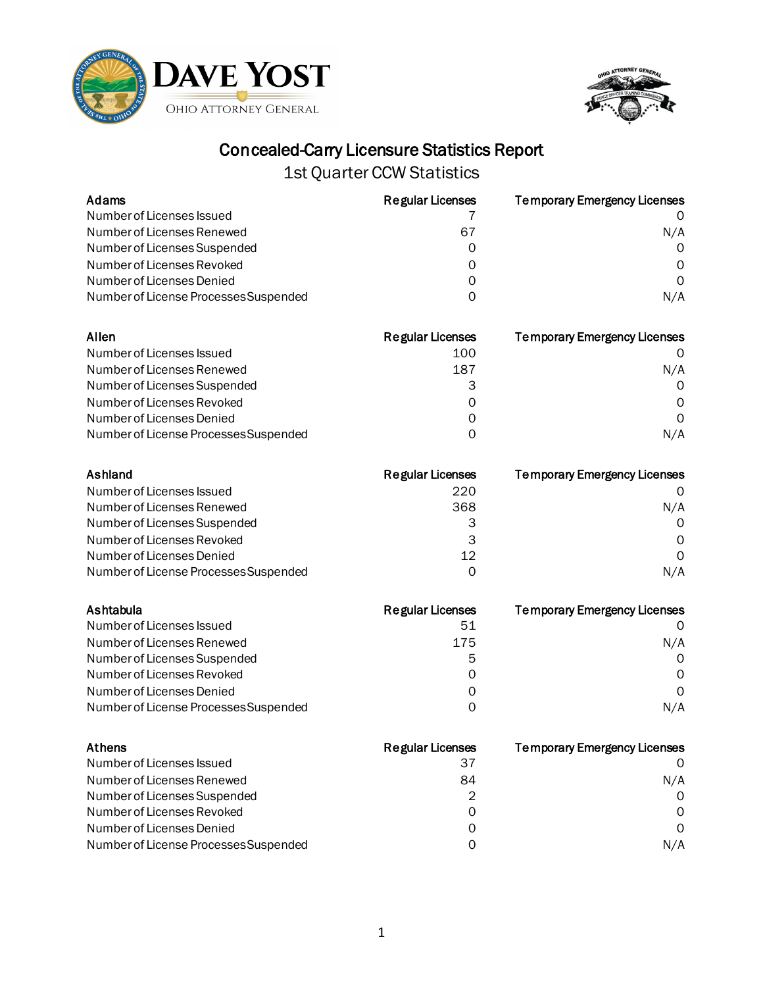



| Adams                                 | <b>Regular Licenses</b> | <b>Temporary Emergency Licenses</b> |
|---------------------------------------|-------------------------|-------------------------------------|
| Number of Licenses Issued             |                         | O                                   |
| Number of Licenses Renewed            | 67                      | N/A                                 |
| Number of Licenses Suspended          | 0                       | 0                                   |
| Number of Licenses Revoked            | 0                       | 0                                   |
| Number of Licenses Denied             | 0                       | $\Omega$                            |
| Number of License Processes Suspended | 0                       | N/A                                 |
| Allen                                 | <b>Regular Licenses</b> | <b>Temporary Emergency Licenses</b> |
| Number of Licenses Issued             | 100                     | 0                                   |
| Number of Licenses Renewed            | 187                     | N/A                                 |
| Number of Licenses Suspended          | 3                       | 0                                   |
| Number of Licenses Revoked            | 0                       | 0                                   |
| Number of Licenses Denied             | 0                       | $\Omega$                            |
| Number of License Processes Suspended | 0                       | N/A                                 |
| Ashland                               | <b>Regular Licenses</b> | <b>Temporary Emergency Licenses</b> |
| Number of Licenses Issued             | 220                     | O                                   |
| Number of Licenses Renewed            | 368                     | N/A                                 |
| Number of Licenses Suspended          | 3                       | 0                                   |
| Number of Licenses Revoked            | 3                       | 0                                   |
| Number of Licenses Denied             | 12                      | $\mathsf{O}$                        |
| Number of License Processes Suspended | 0                       | N/A                                 |
| Ashtabula                             | <b>Regular Licenses</b> | <b>Temporary Emergency Licenses</b> |
| Number of Licenses Issued             | 51                      | O                                   |
| Number of Licenses Renewed            | 175                     | N/A                                 |
| Number of Licenses Suspended          | 5                       | 0                                   |
| Number of Licenses Revoked            | 0                       | 0                                   |
| Number of Licenses Denied             | 0                       | $\Omega$                            |
| Number of License Processes Suspended | $\Omega$                | N/A                                 |
| <b>Athens</b>                         | <b>Regular Licenses</b> | <b>Temporary Emergency Licenses</b> |
| Number of Licenses Issued             | 37                      | 0                                   |
| Number of Licenses Renewed            | 84                      | N/A                                 |
| Number of Licenses Suspended          | $\overline{2}$          | 0                                   |
| Number of Licenses Revoked            | $\mathsf{O}\xspace$     | $\Omega$                            |
| Number of Licenses Denied             | 0                       | 0                                   |
| Number of License Processes Suspended | 0                       | N/A                                 |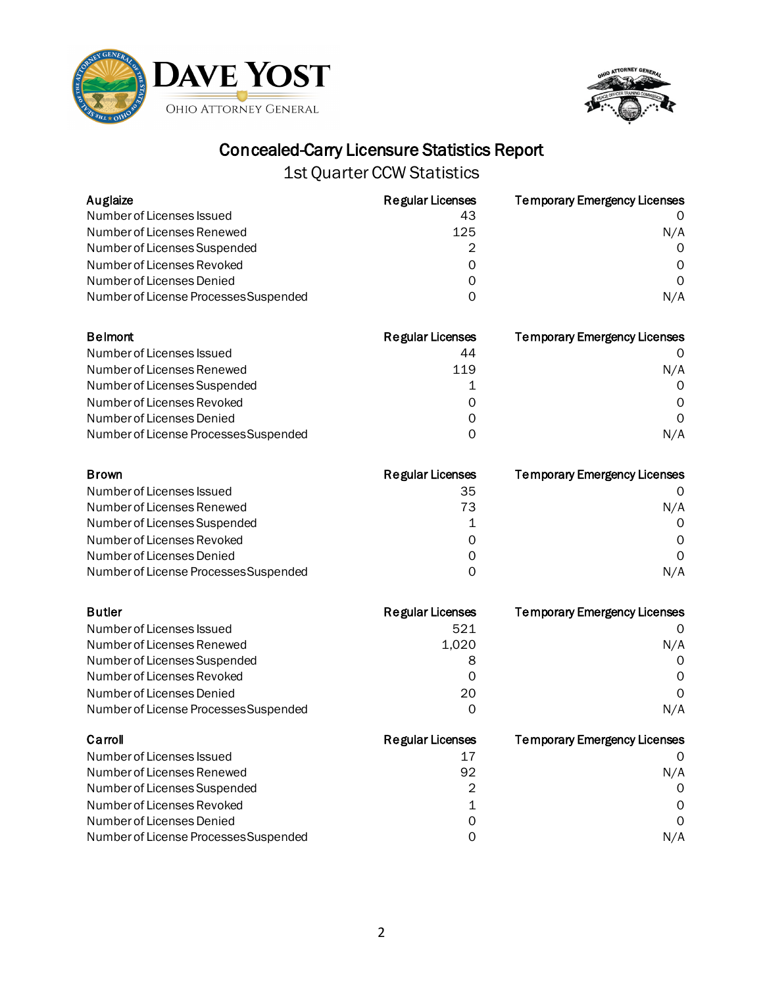



| Auglaize                              | <b>Regular Licenses</b> | <b>Temporary Emergency Licenses</b> |
|---------------------------------------|-------------------------|-------------------------------------|
| Number of Licenses Issued             | 43                      |                                     |
| Number of Licenses Renewed            | 125                     | N/A                                 |
| Number of Licenses Suspended          | 2                       | 0                                   |
| Number of Licenses Revoked            | 0                       | 0                                   |
| Number of Licenses Denied             | 0                       | $\Omega$                            |
| Number of License Processes Suspended | 0                       | N/A                                 |
| <b>Belmont</b>                        | <b>Regular Licenses</b> | <b>Temporary Emergency Licenses</b> |
| Number of Licenses Issued             | 44                      | 0                                   |
| Number of Licenses Renewed            | 119                     | N/A                                 |
| Number of Licenses Suspended          | 1                       | 0                                   |
| Number of Licenses Revoked            | 0                       | 0                                   |
| Number of Licenses Denied             | 0                       | $\Omega$                            |
| Number of License Processes Suspended | 0                       | N/A                                 |
| <b>Brown</b>                          | <b>Regular Licenses</b> | <b>Temporary Emergency Licenses</b> |
| Number of Licenses Issued             | 35                      | O                                   |
| Number of Licenses Renewed            | 73                      | N/A                                 |
| Number of Licenses Suspended          | 1                       | 0                                   |
| Number of Licenses Revoked            | 0                       | 0                                   |
| Number of Licenses Denied             | 0                       | $\Omega$                            |
| Number of License Processes Suspended | 0                       | N/A                                 |
| <b>Butler</b>                         | <b>Regular Licenses</b> | <b>Temporary Emergency Licenses</b> |
| Number of Licenses Issued             | 521                     | 0                                   |
| Number of Licenses Renewed            | 1,020                   | N/A                                 |
| Number of Licenses Suspended          | 8                       | 0                                   |
| Number of Licenses Revoked            | 0                       | 0                                   |
| Number of Licenses Denied             | 20                      | 0                                   |
| Number of License Processes Suspended | 0                       | N/A                                 |
| Carroll                               | <b>Regular Licenses</b> | <b>Temporary Emergency Licenses</b> |
| Number of Licenses Issued             | 17                      | 0                                   |
| Number of Licenses Renewed            | 92                      | N/A                                 |
| Number of Licenses Suspended          | $\overline{2}$          | 0                                   |
| Number of Licenses Revoked            | 1                       | O                                   |
| Number of Licenses Denied             | 0                       | 0                                   |
| Number of License Processes Suspended | 0                       | N/A                                 |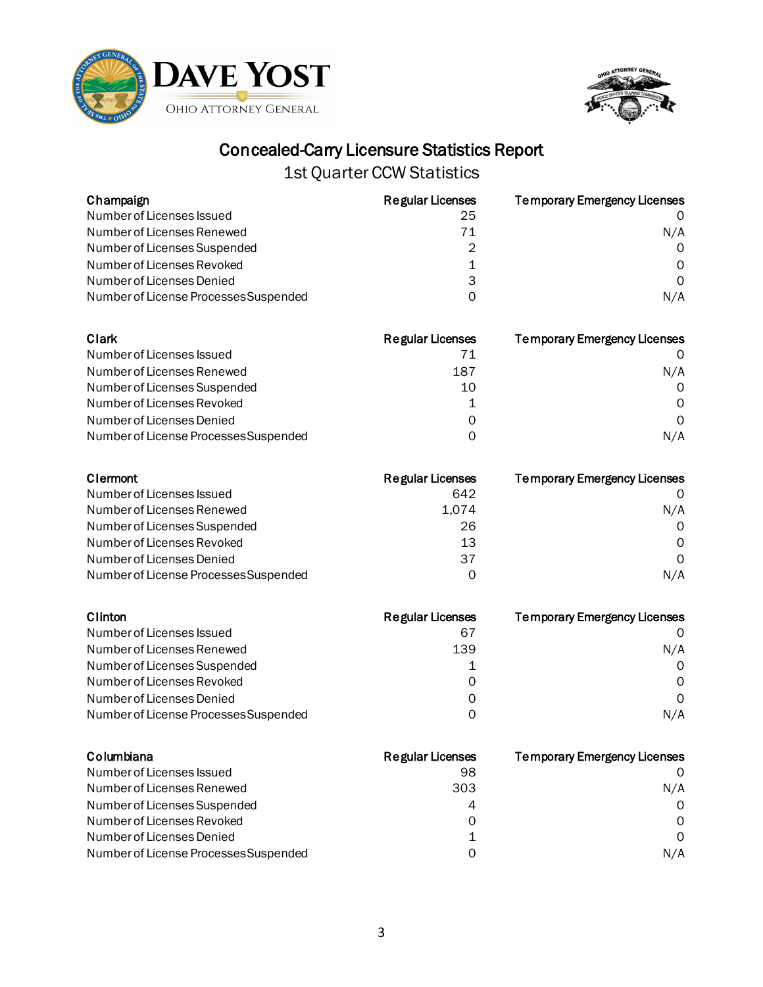



| Champaign                             | <b>Regular Licenses</b> | <b>Temporary Emergency Licenses</b> |
|---------------------------------------|-------------------------|-------------------------------------|
| Number of Licenses Issued             | 25                      |                                     |
| Number of Licenses Renewed            | 71                      | N/A                                 |
| Number of Licenses Suspended          | 2                       | $\Omega$                            |
| Number of Licenses Revoked            | 1                       | $\Omega$                            |
| Number of Licenses Denied             | 3                       | $\Omega$                            |
| Number of License Processes Suspended | 0                       | N/A                                 |

| Clark                                 | <b>Regular Licenses</b> | <b>Temporary Emergency Licenses</b> |
|---------------------------------------|-------------------------|-------------------------------------|
| Number of Licenses Issued             | 71                      |                                     |
| Number of Licenses Renewed            | 187                     | N/A                                 |
| Number of Licenses Suspended          | 10                      | $\Omega$                            |
| Number of Licenses Revoked            |                         | $\Omega$                            |
| Number of Licenses Denied             | 0                       | $\Omega$                            |
| Number of License Processes Suspended | ი                       | N/A                                 |

| Clermont                              | Regular Licenses | <b>Temporary Emergency Licenses</b> |
|---------------------------------------|------------------|-------------------------------------|
| Number of Licenses Issued             | 642              |                                     |
| Number of Licenses Renewed            | 1.074            | N/A                                 |
| Number of Licenses Suspended          | 26               | $\Omega$                            |
| Number of Licenses Revoked            | 13               | $\Omega$                            |
| Number of Licenses Denied             | 37               | $\Omega$                            |
| Number of License Processes Suspended | 0                | N/A                                 |

| Clinton                               | <b>Regular Licenses</b> | <b>Temporary Emergency Licenses</b> |
|---------------------------------------|-------------------------|-------------------------------------|
| Number of Licenses Issued             | 67                      |                                     |
| Number of Licenses Renewed            | 139                     | N/A                                 |
| Number of Licenses Suspended          |                         | $\Omega$                            |
| Number of Licenses Revoked            | O                       | 0                                   |
| Number of Licenses Denied             | Ω                       | $\Omega$                            |
| Number of License Processes Suspended | O                       | N/A                                 |

| Columbiana                            | Regular Licenses | <b>Temporary Emergency Licenses</b> |
|---------------------------------------|------------------|-------------------------------------|
| Number of Licenses Issued             | 98               |                                     |
| Number of Licenses Renewed            | 303              | N/A                                 |
| Number of Licenses Suspended          | 4                | $\Omega$                            |
| Number of Licenses Revoked            | 0                | $\Omega$                            |
| Number of Licenses Denied             |                  | $\Omega$                            |
| Number of License Processes Suspended | O                | N/A                                 |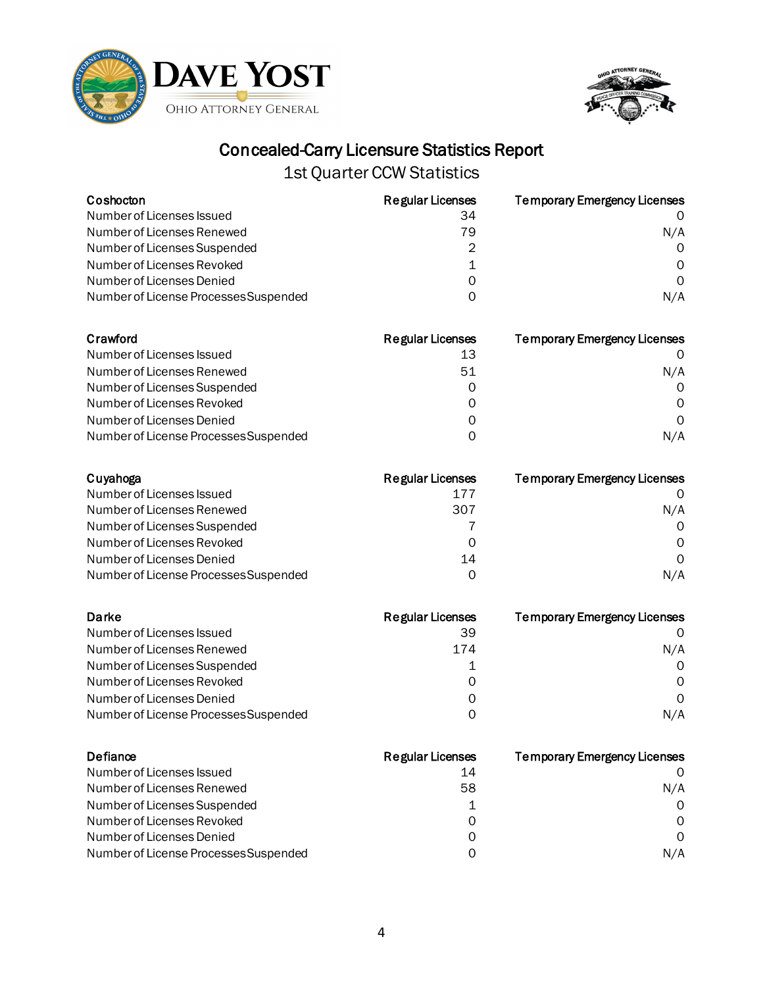



| Coshocton                             | <b>Regular Licenses</b> | <b>Temporary Emergency Licenses</b> |
|---------------------------------------|-------------------------|-------------------------------------|
| Number of Licenses Issued             | 34                      |                                     |
| Number of Licenses Renewed            | 79                      | N/A                                 |
| Number of Licenses Suspended          | 2                       | $\Omega$                            |
| Number of Licenses Revoked            |                         | $\Omega$                            |
| Number of Licenses Denied             | 0                       | $\Omega$                            |
| Number of License Processes Suspended | 0                       | N/A                                 |

| Crawford                              | <b>Regular Licenses</b> | <b>Temporary Emergency Licenses</b> |
|---------------------------------------|-------------------------|-------------------------------------|
| Number of Licenses Issued             | 13                      |                                     |
| Number of Licenses Renewed            | 51                      | N/A                                 |
| Number of Licenses Suspended          | 0                       | $\Omega$                            |
| Number of Licenses Revoked            | 0                       | $\Omega$                            |
| Number of Licenses Denied             | Ω                       | $\Omega$                            |
| Number of License Processes Suspended | ი                       | N/A                                 |

| Cuyahoga                              | Regular Licenses | <b>Temporary Emergency Licenses</b> |
|---------------------------------------|------------------|-------------------------------------|
| Number of Licenses Issued             | 177              |                                     |
| Number of Licenses Renewed            | 307              | N/A                                 |
| Number of Licenses Suspended          |                  | $\Omega$                            |
| Number of Licenses Revoked            | 0                | $\Omega$                            |
| Number of Licenses Denied             | 14               | $\Omega$                            |
| Number of License Processes Suspended | Ω                | N/A                                 |

| Darke                                 | <b>Regular Licenses</b> | <b>Temporary Emergency Licenses</b> |
|---------------------------------------|-------------------------|-------------------------------------|
| Number of Licenses Issued             | 39                      |                                     |
| Number of Licenses Renewed            | 174                     | N/A                                 |
| Number of Licenses Suspended          |                         | $\Omega$                            |
| Number of Licenses Revoked            | O                       | 0                                   |
| Number of Licenses Denied             | Ω                       | $\Omega$                            |
| Number of License Processes Suspended | O                       | N/A                                 |

| Defiance                              | Regular Licenses | <b>Temporary Emergency Licenses</b> |
|---------------------------------------|------------------|-------------------------------------|
| Number of Licenses Issued             | 14               |                                     |
| Number of Licenses Renewed            | 58               | N/A                                 |
| Number of Licenses Suspended          |                  | $\Omega$                            |
| Number of Licenses Revoked            | 0                | $\Omega$                            |
| Number of Licenses Denied             | Ω                | $\Omega$                            |
| Number of License Processes Suspended |                  | N/A                                 |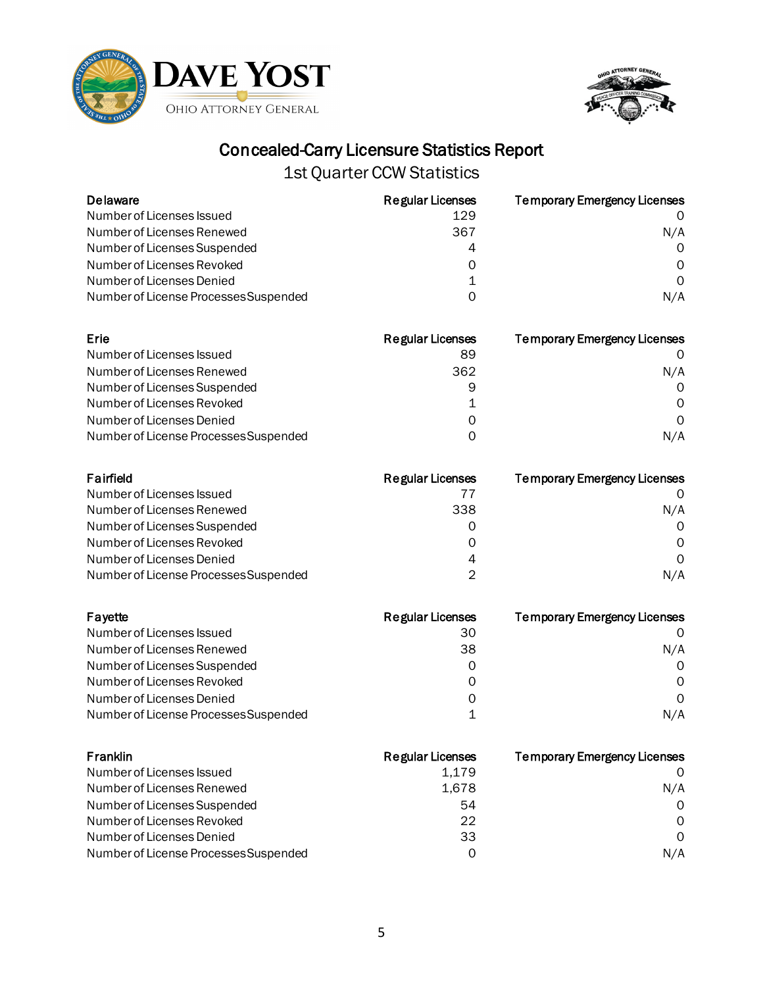



| <b>Delaware</b>                       | <b>Regular Licenses</b> | <b>Temporary Emergency Licenses</b> |
|---------------------------------------|-------------------------|-------------------------------------|
| Number of Licenses Issued             | 129                     |                                     |
| Number of Licenses Renewed            | 367                     | N/A                                 |
| Number of Licenses Suspended          | 4                       | $\Omega$                            |
| Number of Licenses Revoked            | 0                       | $\Omega$                            |
| Number of Licenses Denied             |                         | $\Omega$                            |
| Number of License Processes Suspended | 0                       | N/A                                 |

| Erie                                  | <b>Regular Licenses</b> | <b>Temporary Emergency Licenses</b> |
|---------------------------------------|-------------------------|-------------------------------------|
| Number of Licenses Issued             | 89                      |                                     |
| Number of Licenses Renewed            | 362                     | N/A                                 |
| Number of Licenses Suspended          | 9                       | $\Omega$                            |
| Number of Licenses Revoked            | 1                       | 0                                   |
| Number of Licenses Denied             | Ω                       | $\Omega$                            |
| Number of License Processes Suspended | O                       | N/A                                 |

| Fairfield                             | Regular Licenses | <b>Temporary Emergency Licenses</b> |
|---------------------------------------|------------------|-------------------------------------|
| Number of Licenses Issued             |                  |                                     |
| Number of Licenses Renewed            | 338              | N/A                                 |
| Number of Licenses Suspended          | Ω                | $\Omega$                            |
| Number of Licenses Revoked            | 0                | $\Omega$                            |
| Number of Licenses Denied             | 4                | $\Omega$                            |
| Number of License Processes Suspended | ◠                | N/A                                 |

| Fayette                               | <b>Regular Licenses</b> | <b>Temporary Emergency Licenses</b> |
|---------------------------------------|-------------------------|-------------------------------------|
| Number of Licenses Issued             | 30                      |                                     |
| Number of Licenses Renewed            | 38                      | N/A                                 |
| Number of Licenses Suspended          | Ω                       | $\Omega$                            |
| Number of Licenses Revoked            | O                       | 0                                   |
| Number of Licenses Denied             | Ω                       | $\Omega$                            |
| Number of License Processes Suspended |                         | N/A                                 |

| Franklin                              | <b>Regular Licenses</b> | <b>Temporary Emergency Licenses</b> |
|---------------------------------------|-------------------------|-------------------------------------|
| Number of Licenses Issued             | 1.179                   | $\Omega$                            |
| Number of Licenses Renewed            | 1,678                   | N/A                                 |
| Number of Licenses Suspended          | 54                      | $\Omega$                            |
| Number of Licenses Revoked            | 22                      | $\Omega$                            |
| Number of Licenses Denied             | 33                      | $\Omega$                            |
| Number of License Processes Suspended | 0                       | N/A                                 |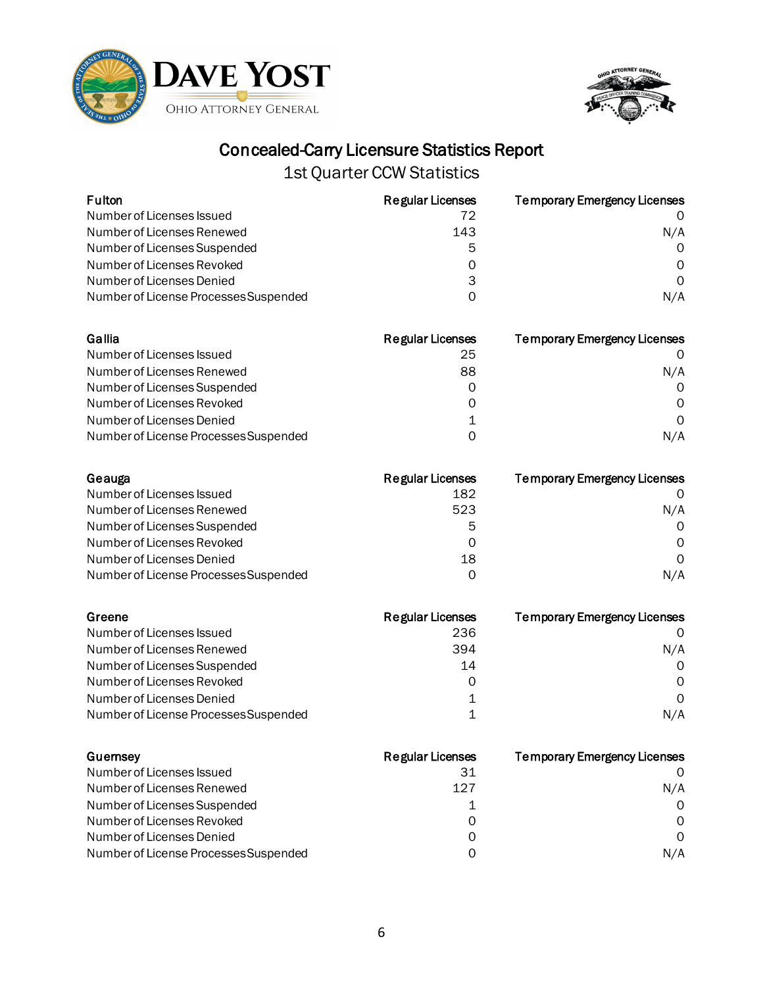



| Fulton                                | <b>Regular Licenses</b> | <b>Temporary Emergency Licenses</b> |
|---------------------------------------|-------------------------|-------------------------------------|
| Number of Licenses Issued             | 72                      |                                     |
| Number of Licenses Renewed            | 143                     | N/A                                 |
| Number of Licenses Suspended          | 5                       | Ω                                   |
| Number of Licenses Revoked            | 0                       | O                                   |
| Number of Licenses Denied             | 3                       | O                                   |
| Number of License Processes Suspended | 0                       | N/A                                 |
| Gallia                                | <b>Regular Licenses</b> | <b>Temporary Emergency Licenses</b> |
| Number of Licenses Issued             | 25                      |                                     |
| Number of Licenses Renewed            | 88                      | N/A                                 |
| Number of Licenses Suspended          | O                       | $\Omega$                            |
| Number of Licenses Revoked            | O                       | ∩                                   |
| Number of Licenses Denied             |                         | 0                                   |
| Number of License Processes Suspended | 0                       | N/A                                 |
| Geauga                                | Regular Licenses        | <b>Temporary Emergency Licenses</b> |
| Number of Licenses Issued             | 182                     |                                     |
| Number of Licenses Renewed            | 523                     | N/A                                 |
| Number of Licenses Suspended          | 5                       | Ω                                   |

| Number of Licenses Suspended          | 5  |     |
|---------------------------------------|----|-----|
| Number of Licenses Revoked            |    |     |
| Number of Licenses Denied             | 18 |     |
| Number of License Processes Suspended |    | N/A |

| Greene                                | <b>Regular Licenses</b> | <b>Temporary Emergency Licenses</b> |
|---------------------------------------|-------------------------|-------------------------------------|
| Number of Licenses Issued             | 236                     |                                     |
| Number of Licenses Renewed            | 394                     | N/A                                 |
| Number of Licenses Suspended          | 14                      | $\Omega$                            |
| Number of Licenses Revoked            | 0                       | 0                                   |
| Number of Licenses Denied             |                         | $\Omega$                            |
| Number of License Processes Suspended |                         | N/A                                 |

| Guernsey                              | <b>Regular Licenses</b> | <b>Temporary Emergency Licenses</b> |
|---------------------------------------|-------------------------|-------------------------------------|
| Number of Licenses Issued             | 31                      |                                     |
| Number of Licenses Renewed            | 127                     | N/A                                 |
| Number of Licenses Suspended          |                         | $\Omega$                            |
| Number of Licenses Revoked            | Ω                       | $\Omega$                            |
| Number of Licenses Denied             | Ω                       | $\Omega$                            |
| Number of License Processes Suspended |                         | N/A                                 |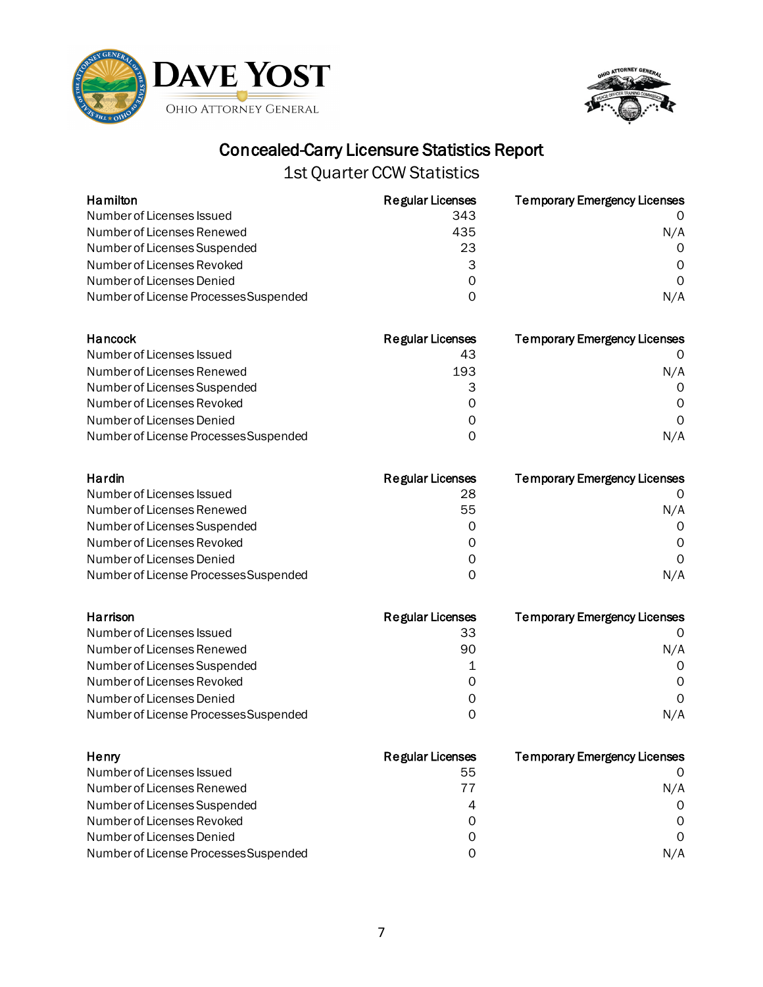



| Hamilton                              | <b>Regular Licenses</b> | <b>Temporary Emergency Licenses</b> |
|---------------------------------------|-------------------------|-------------------------------------|
| Number of Licenses Issued             | 343                     | $\Omega$                            |
| Number of Licenses Renewed            | 435                     | N/A                                 |
| Number of Licenses Suspended          | 23                      | $\Omega$                            |
| Number of Licenses Revoked            | 3                       | $\Omega$                            |
| Number of Licenses Denied             | 0                       | $\Omega$                            |
| Number of License Processes Suspended | 0                       | N/A                                 |

| Hancock                               | <b>Regular Licenses</b> | <b>Temporary Emergency Licenses</b> |
|---------------------------------------|-------------------------|-------------------------------------|
| Number of Licenses Issued             | 43                      |                                     |
| Number of Licenses Renewed            | 193                     | N/A                                 |
| Number of Licenses Suspended          |                         | $\Omega$                            |
| Number of Licenses Revoked            | O                       | 0                                   |
| Number of Licenses Denied             | Ω                       | $\Omega$                            |
| Number of License Processes Suspended | O                       | N/A                                 |

| Hardin                                | Regular Licenses | <b>Temporary Emergency Licenses</b> |
|---------------------------------------|------------------|-------------------------------------|
| Number of Licenses Issued             | 28               |                                     |
| Number of Licenses Renewed            | 55               | N/A                                 |
| Number of Licenses Suspended          | Ω                | $\Omega$                            |
| Number of Licenses Revoked            | 0                | 0                                   |
| Number of Licenses Denied             | Ω                | $\Omega$                            |
| Number of License Processes Suspended | O                | N/A                                 |

| Harrison                              | <b>Regular Licenses</b> | <b>Temporary Emergency Licenses</b> |
|---------------------------------------|-------------------------|-------------------------------------|
| Number of Licenses Issued             | 33                      |                                     |
| Number of Licenses Renewed            | 90                      | N/A                                 |
| Number of Licenses Suspended          |                         | $\Omega$                            |
| Number of Licenses Revoked            | O                       | 0                                   |
| Number of Licenses Denied             | Ω                       | $\Omega$                            |
| Number of License Processes Suspended | ი                       | N/A                                 |

| Henry                                 | <b>Regular Licenses</b> | <b>Temporary Emergency Licenses</b> |
|---------------------------------------|-------------------------|-------------------------------------|
| Number of Licenses Issued             | 55                      |                                     |
| Number of Licenses Renewed            | $\prime\prime$          | N/A                                 |
| Number of Licenses Suspended          | 4                       | $\Omega$                            |
| Number of Licenses Revoked            | 0                       | $\Omega$                            |
| Number of Licenses Denied             | Ω                       | $\Omega$                            |
| Number of License Processes Suspended | ი                       | N/A                                 |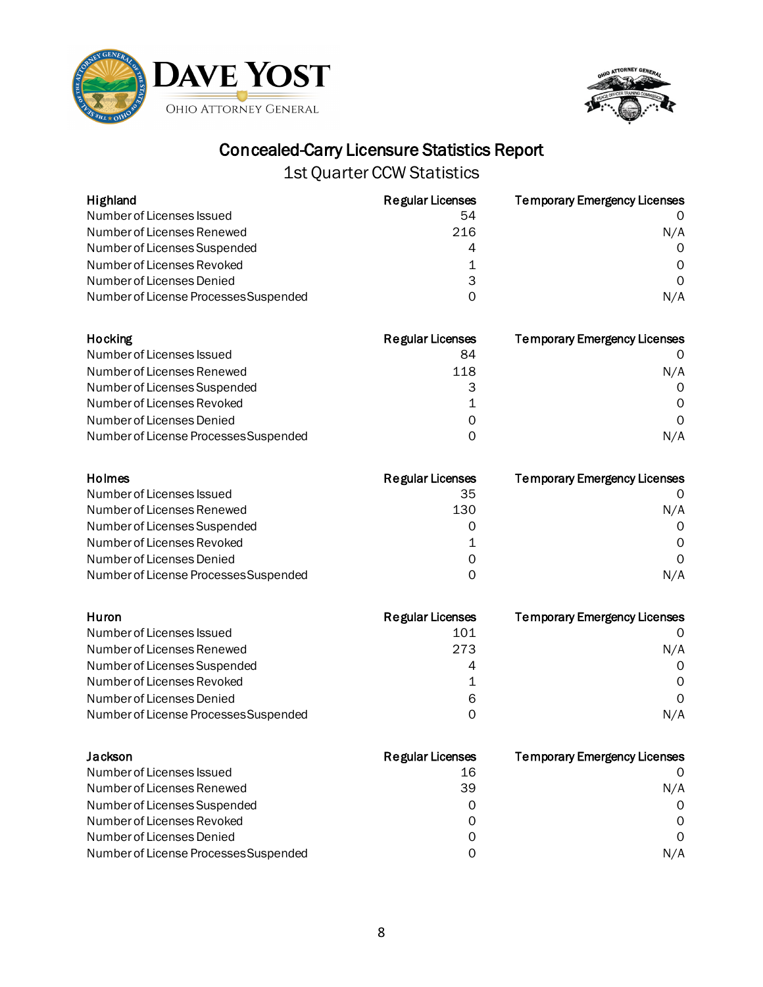



| Highland                              | <b>Regular Licenses</b> | <b>Temporary Emergency Licenses</b> |
|---------------------------------------|-------------------------|-------------------------------------|
| Number of Licenses Issued             | 54                      | $\Omega$                            |
| Number of Licenses Renewed            | 216                     | N/A                                 |
| Number of Licenses Suspended          | 4                       | $\Omega$                            |
| Number of Licenses Revoked            |                         | $\Omega$                            |
| Number of Licenses Denied             | 3                       | $\Omega$                            |
| Number of License Processes Suspended | 0                       | N/A                                 |

| Hocking                               | <b>Regular Licenses</b> | <b>Temporary Emergency Licenses</b> |
|---------------------------------------|-------------------------|-------------------------------------|
| Number of Licenses Issued             | 84                      |                                     |
| Number of Licenses Renewed            | 118                     | N/A                                 |
| Number of Licenses Suspended          |                         | $\Omega$                            |
| Number of Licenses Revoked            |                         | 0                                   |
| Number of Licenses Denied             | Ω                       | $\Omega$                            |
| Number of License Processes Suspended | O                       | N/A                                 |

| Holmes                                | Regular Licenses | <b>Temporary Emergency Licenses</b> |
|---------------------------------------|------------------|-------------------------------------|
| Number of Licenses Issued             | 35               |                                     |
| Number of Licenses Renewed            | 130              | N/A                                 |
| Number of Licenses Suspended          | Ω                | $\Omega$                            |
| Number of Licenses Revoked            |                  | $\Omega$                            |
| Number of Licenses Denied             | Ω                | $\Omega$                            |
| Number of License Processes Suspended | O                | N/A                                 |

| Huron                                 | <b>Regular Licenses</b> | <b>Temporary Emergency Licenses</b> |
|---------------------------------------|-------------------------|-------------------------------------|
| Number of Licenses Issued             | 101                     |                                     |
| Number of Licenses Renewed            | 273                     | N/A                                 |
| Number of Licenses Suspended          |                         | $\Omega$                            |
| Number of Licenses Revoked            | 1                       | <sup>o</sup>                        |
| Number of Licenses Denied             | 6                       | $\Omega$                            |
| Number of License Processes Suspended | O                       | N/A                                 |

| Jackson                               | Regular Licenses | <b>Temporary Emergency Licenses</b> |
|---------------------------------------|------------------|-------------------------------------|
| Number of Licenses Issued             | 16               |                                     |
| Number of Licenses Renewed            | 39               | N/A                                 |
| Number of Licenses Suspended          | Ω                | $\Omega$                            |
| Number of Licenses Revoked            | 0                | $\Omega$                            |
| Number of Licenses Denied             | Ω                | $\Omega$                            |
| Number of License Processes Suspended |                  | N/A                                 |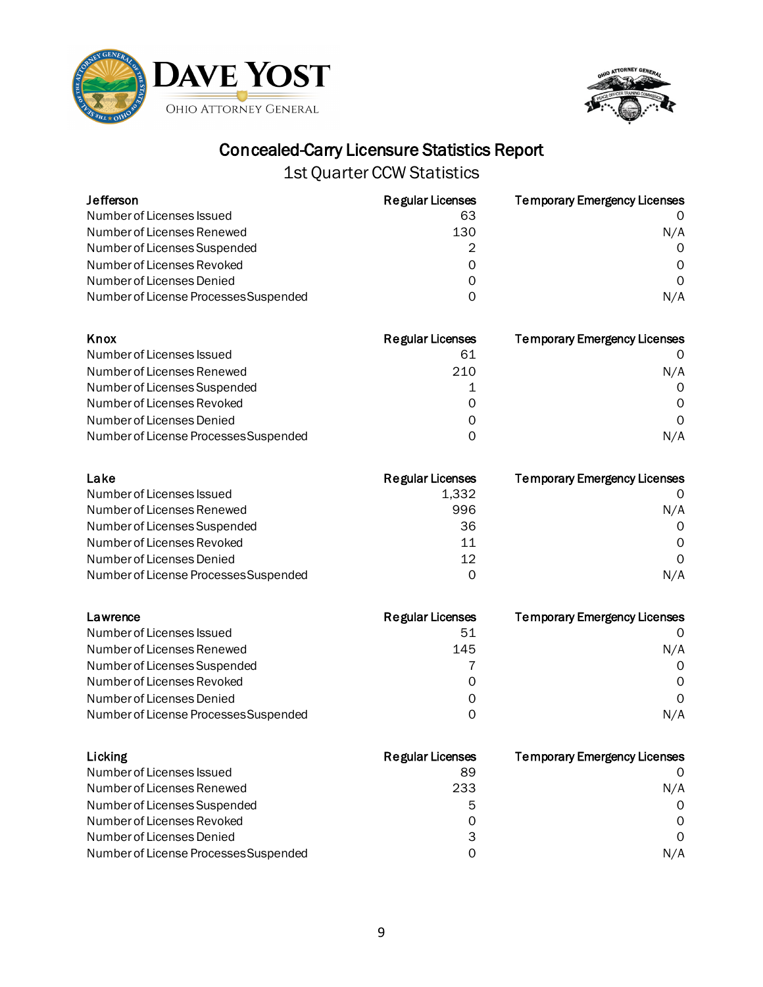



| <b>Jefferson</b>                      | <b>Regular Licenses</b> | <b>Temporary Emergency Licenses</b> |
|---------------------------------------|-------------------------|-------------------------------------|
| Number of Licenses Issued             | 63                      |                                     |
| Number of Licenses Renewed            | 130                     | N/A                                 |
| Number of Licenses Suspended          | 2                       | $\Omega$                            |
| Number of Licenses Revoked            | 0                       | $\Omega$                            |
| Number of Licenses Denied             | 0                       | $\Omega$                            |
| Number of License Processes Suspended | 0                       | N/A                                 |

| Knox                                  | <b>Regular Licenses</b> | <b>Temporary Emergency Licenses</b> |
|---------------------------------------|-------------------------|-------------------------------------|
| Number of Licenses Issued             | 61                      |                                     |
| Number of Licenses Renewed            | 210                     | N/A                                 |
| Number of Licenses Suspended          |                         | $\Omega$                            |
| Number of Licenses Revoked            | 0                       | $\Omega$                            |
| Number of Licenses Denied             | 0                       | $\Omega$                            |
| Number of License Processes Suspended | O                       | N/A                                 |

| Lake                                  | Regular Licenses | <b>Temporary Emergency Licenses</b> |
|---------------------------------------|------------------|-------------------------------------|
| Number of Licenses Issued             | 1,332            |                                     |
| Number of Licenses Renewed            | 996              | N/A                                 |
| Number of Licenses Suspended          | 36               | $\Omega$                            |
| Number of Licenses Revoked            | 11               | $\Omega$                            |
| Number of Licenses Denied             | 12               | $\Omega$                            |
| Number of License Processes Suspended | Ω                | N/A                                 |

| Lawrence                              | <b>Regular Licenses</b> | <b>Temporary Emergency Licenses</b> |
|---------------------------------------|-------------------------|-------------------------------------|
| Number of Licenses Issued             | 51                      |                                     |
| Number of Licenses Renewed            | 145                     | N/A                                 |
| Number of Licenses Suspended          |                         | $\Omega$                            |
| Number of Licenses Revoked            | O                       | 0                                   |
| Number of Licenses Denied             | Ω                       | $\Omega$                            |
| Number of License Processes Suspended | O                       | N/A                                 |

| Licking                               | Regular Licenses | <b>Temporary Emergency Licenses</b> |
|---------------------------------------|------------------|-------------------------------------|
| Number of Licenses Issued             | 89               |                                     |
| Number of Licenses Renewed            | 233              | N/A                                 |
| Number of Licenses Suspended          | 5                | $\Omega$                            |
| Number of Licenses Revoked            | 0                | $\Omega$                            |
| Number of Licenses Denied             | 3                | $\Omega$                            |
| Number of License Processes Suspended | ი                | N/A                                 |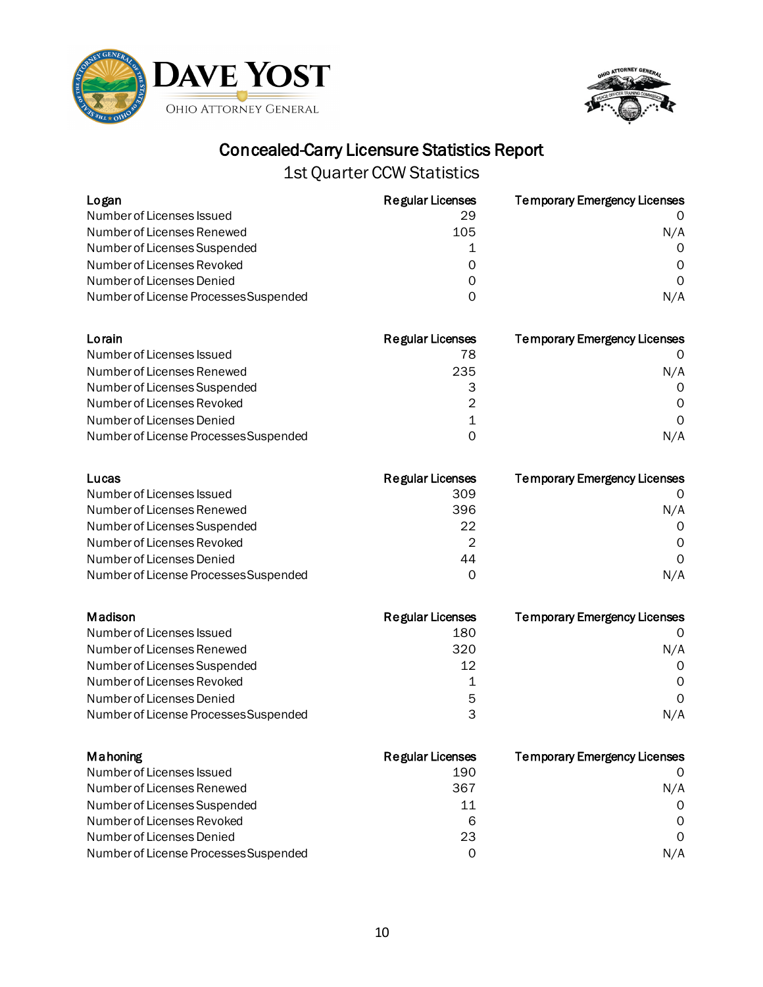



| Logan                                 | <b>Regular Licenses</b> | <b>Temporary Emergency Licenses</b> |
|---------------------------------------|-------------------------|-------------------------------------|
| Number of Licenses Issued             | 29                      | 0                                   |
| Number of Licenses Renewed            | 105                     | N/A                                 |
| Number of Licenses Suspended          | 1                       | 0                                   |
| Number of Licenses Revoked            | 0                       | 0                                   |
| Number of Licenses Denied             | 0                       | 0                                   |
| Number of License Processes Suspended | 0                       | N/A                                 |
| Lorain                                | <b>Regular Licenses</b> | <b>Temporary Emergency Licenses</b> |
| Number of Licenses Issued             | 78                      | O                                   |
| Number of Licenses Renewed            | 235                     | N/A                                 |
| Number of Licenses Suspended          | 3                       | 0                                   |
| Number of Licenses Revoked            | $\overline{2}$          | Ω                                   |
| Number of Licenses Denied             | $\mathbf 1$             | 0                                   |
| Number of License Processes Suspended | 0                       | N/A                                 |
| Lucas                                 | <b>Regular Licenses</b> | <b>Temporary Emergency Licenses</b> |
| Number of Licenses Issued             | 309                     | O                                   |
| Number of Licenses Renewed            | 396                     | N/A                                 |
| Number of Licenses Suspended          | 22                      | 0                                   |
| Number of Licenses Revoked            | $\overline{2}$          | 0                                   |
| Number of Licenses Denied             | 44                      | $\Omega$                            |
| Number of License Processes Suspended | 0                       | N/A                                 |
| <b>Madison</b>                        | <b>Regular Licenses</b> | <b>Temporary Emergency Licenses</b> |
| Number of Licenses Issued             | 180                     | 0                                   |
| Number of Licenses Renewed            | 320                     | N/A                                 |
| Number of Licenses Suspended          | 12                      | 0                                   |
| Number of Licenses Revoked            | $\mathbf 1$             | Ω                                   |
| Number of Licenses Denied             | 5                       | 0                                   |
| Number of License Processes Suspended | 3                       | N/A                                 |
| Mahoning                              | <b>Regular Licenses</b> | <b>Temporary Emergency Licenses</b> |
| Number of Licenses Issued             | 190                     | O                                   |
| Number of Licenses Renewed            | 367                     | N/A                                 |
| Number of Licenses Suspended          | 11                      | 0                                   |
| Number of Licenses Revoked            | 6                       | $\Omega$                            |
| Number of Licenses Denied             | 23                      | 0                                   |
| Number of License Processes Suspended | $\mathbf 0$             | N/A                                 |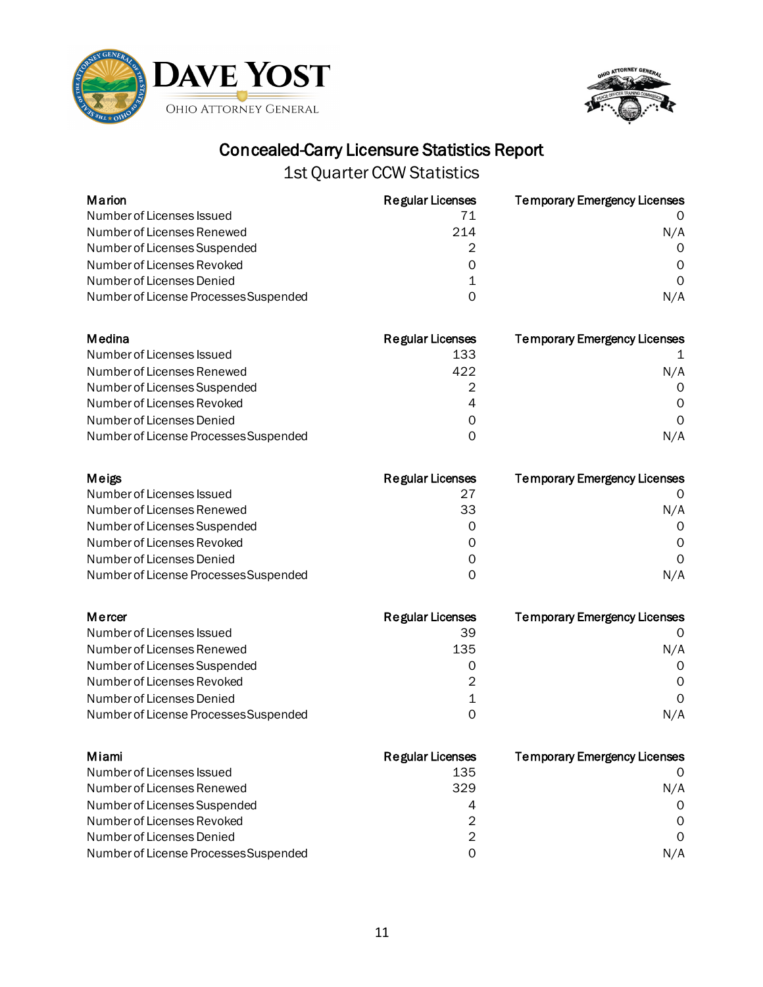

Number of License Processes Suspended



### Concealed-Carry Licensure Statistics Report

| Marion                                | <b>Regular Licenses</b> | <b>Temporary Emergency Licenses</b> |
|---------------------------------------|-------------------------|-------------------------------------|
| Number of Licenses Issued             | 71                      | 0                                   |
| Number of Licenses Renewed            | 214                     | N/A                                 |
| Number of Licenses Suspended          | 2                       | 0                                   |
| Number of Licenses Revoked            | $\Omega$                | Ω                                   |
| Number of Licenses Denied             | 1                       | $\Omega$                            |
| Number of License Processes Suspended | 0                       | N/A                                 |
| Medina                                | <b>Regular Licenses</b> | <b>Temporary Emergency Licenses</b> |
| Number of Licenses Issued             | 133                     | 1                                   |
| Number of Licenses Renewed            | 422                     | N/A                                 |
| Number of Licenses Suspended          | 2                       | 0                                   |
| Number of Licenses Revoked            | 4                       | 0                                   |
| Number of Licenses Denied             | 0                       | $\mathbf 0$                         |
| Number of License Processes Suspended | $\Omega$                | N/A                                 |
| Meigs                                 | <b>Regular Licenses</b> | <b>Temporary Emergency Licenses</b> |
| Number of Licenses Issued             | 27                      | O                                   |
| Number of Licenses Renewed            | 33                      | N/A                                 |
| Number of Licenses Suspended          | $\Omega$                | 0                                   |
| Number of Licenses Revoked            | 0                       | $\Omega$                            |
| Number of Licenses Denied             | 0                       | $\Omega$                            |
| Number of License Processes Suspended | 0                       | N/A                                 |
| Mercer                                | <b>Regular Licenses</b> | <b>Temporary Emergency Licenses</b> |
| Number of Licenses Issued             | 39                      | $\Omega$                            |
| Number of Licenses Renewed            | 135                     | N/A                                 |
| Number of Licenses Suspended          | 0                       | 0                                   |
| Number of Licenses Revoked            | $\overline{2}$          | 0                                   |
| Number of Licenses Denied             | 1                       | $\Omega$                            |
| Number of License Processes Suspended | 0                       | N/A                                 |

| Miami                                 | <b>Regular Licenses</b> | <b>Temporary Emergency Licenses</b> |
|---------------------------------------|-------------------------|-------------------------------------|
| Number of Licenses Issued             | 135                     |                                     |
| Number of Licenses Renewed            | 329                     | N/A                                 |
| Number of Licenses Suspended          | 4                       | $\Omega$                            |
| Number of Licenses Revoked            | 2                       | $\Omega$                            |
| Number of Licenses Denied             | 2                       | $\Omega$                            |
| Number of License Processes Suspended | O                       | N/A                                 |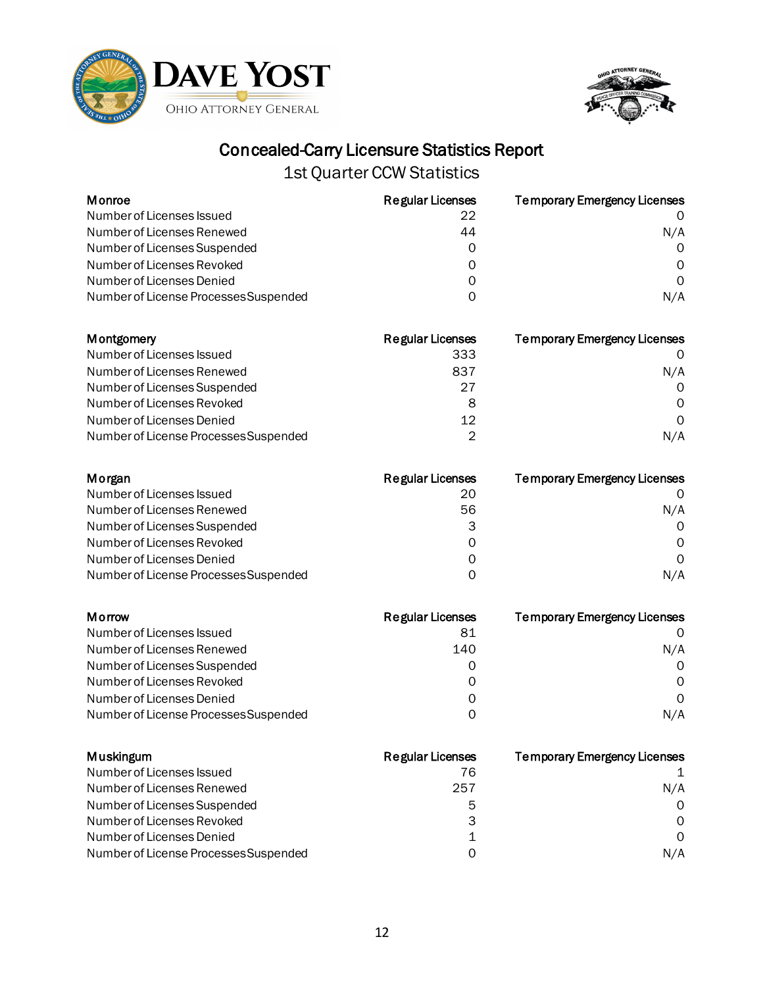



1st Quarter CCW Statistics

| Monroe                                                             | <b>Regular Licenses</b> | <b>Temporary Emergency Licenses</b> |
|--------------------------------------------------------------------|-------------------------|-------------------------------------|
| Number of Licenses Issued                                          | 22                      | 0                                   |
| Number of Licenses Renewed                                         | 44                      | N/A                                 |
| Number of Licenses Suspended                                       | 0                       | 0                                   |
| Number of Licenses Revoked                                         | 0                       | 0                                   |
| Number of Licenses Denied<br>Number of License Processes Suspended | 0<br>0                  | 0<br>N/A                            |
|                                                                    |                         |                                     |
| <b>Montgomery</b>                                                  | <b>Regular Licenses</b> | <b>Temporary Emergency Licenses</b> |
| Number of Licenses Issued                                          | 333                     | O                                   |
| Number of Licenses Renewed                                         | 837                     | N/A                                 |
| Number of Licenses Suspended                                       | 27                      | 0                                   |
| Number of Licenses Revoked                                         | 8                       | Ω                                   |
| Number of Licenses Denied                                          | 12                      | 0                                   |
| Number of License Processes Suspended                              | $\overline{2}$          | N/A                                 |
| Morgan                                                             | <b>Regular Licenses</b> | <b>Temporary Emergency Licenses</b> |
| Number of Licenses Issued                                          | 20                      | O                                   |
| Number of Licenses Renewed                                         | 56                      | N/A                                 |
| Number of Licenses Suspended                                       | 3                       | 0                                   |
| Number of Licenses Revoked                                         | 0                       | 0                                   |
| Number of Licenses Denied                                          | 0                       | $\Omega$                            |
| Number of License Processes Suspended                              | 0                       | N/A                                 |
| Morrow                                                             | <b>Regular Licenses</b> | <b>Temporary Emergency Licenses</b> |
| Number of Licenses Issued                                          | 81                      | 0                                   |
| Number of Licenses Renewed                                         | 140                     | N/A                                 |
| Number of Licenses Suspended                                       | 0                       | 0                                   |
| Number of Licenses Revoked                                         | 0                       | Ω                                   |
| Number of Licenses Denied                                          | 0                       | $\Omega$                            |
| Number of License Processes Suspended                              | 0                       | N/A                                 |
| <b>Muskingum</b>                                                   | <b>Regular Licenses</b> | <b>Temporary Emergency Licenses</b> |
| Number of Licenses Issued                                          | 76                      | 1                                   |
| Number of Licenses Renewed                                         | 257                     | N/A                                 |
| Number of Licenses Suspended                                       | 5                       | 0                                   |
| Number of Licenses Revoked                                         | 3                       | 0                                   |
| Number of Licenses Denied                                          | 1                       | 0                                   |

Number of License Processes Suspended 0 0 0 0 0 0 0 N/A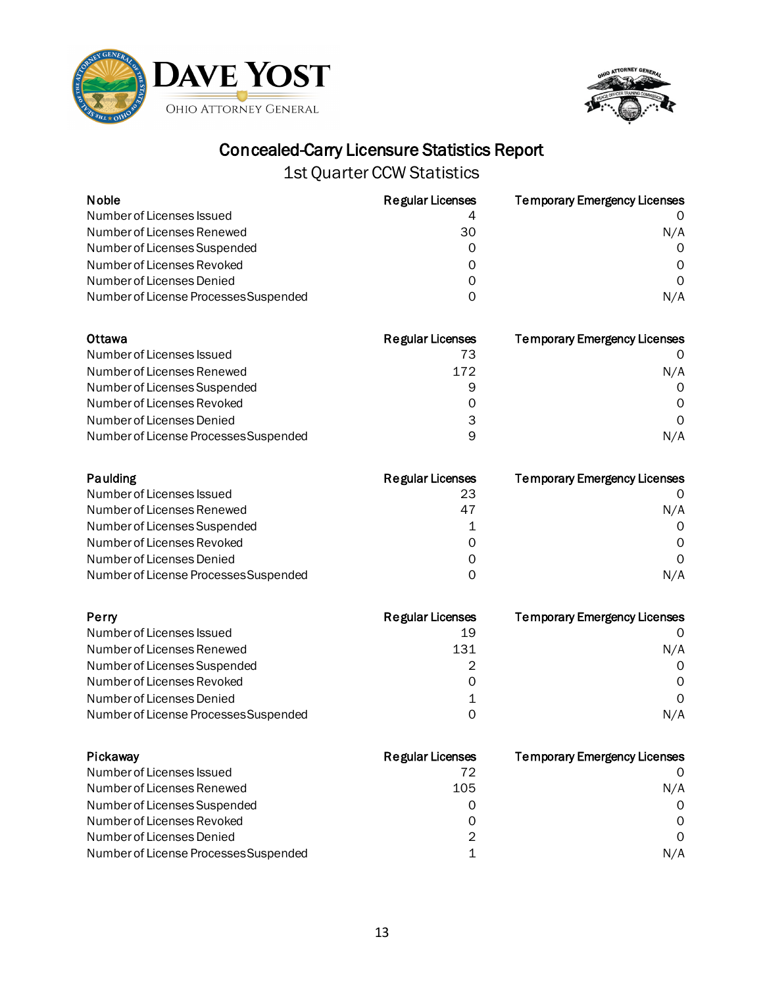



| <b>Noble</b>                          | <b>Regular Licenses</b> | <b>Temporary Emergency Licenses</b> |
|---------------------------------------|-------------------------|-------------------------------------|
| Number of Licenses Issued             | 4                       |                                     |
| Number of Licenses Renewed            | 30                      | N/A                                 |
| Number of Licenses Suspended          |                         |                                     |
| Number of Licenses Revoked            |                         | O                                   |
| Number of Licenses Denied             |                         |                                     |
| Number of License Processes Suspended | O                       | N/A                                 |
| Ottawa                                | <b>Regular Licenses</b> | <b>Temporary Emergency Licenses</b> |
| Number of Licenses Issued             | 73                      |                                     |
| Number of Licenses Renewed            | 172                     | N/A                                 |
| Number of Licenses Suspended          | 9                       |                                     |
| Number of Licenses Revoked            |                         | $\Omega$                            |
| Number of Licenses Denied             | 3                       | O                                   |
| Number of License Processes Suspended | 9                       | N/A                                 |

| Paulding                              | <b>Regular Licenses</b> | <b>Temporary Emergency Licenses</b> |
|---------------------------------------|-------------------------|-------------------------------------|
| Number of Licenses Issued             | 23                      |                                     |
| Number of Licenses Renewed            | 47                      | N/A                                 |
| Number of Licenses Suspended          |                         | $\Omega$                            |
| Number of Licenses Revoked            | Ω                       | 0                                   |
| Number of Licenses Denied             | Ω                       | $\Omega$                            |
| Number of License Processes Suspended | O                       | N/A                                 |

| Perry                                 | <b>Regular Licenses</b> | <b>Temporary Emergency Licenses</b> |
|---------------------------------------|-------------------------|-------------------------------------|
| Number of Licenses Issued             | 19                      |                                     |
| Number of Licenses Renewed            | 131                     | N/A                                 |
| Number of Licenses Suspended          |                         | 0                                   |
| Number of Licenses Revoked            | O                       | 0                                   |
| Number of Licenses Denied             |                         | $\Omega$                            |
| Number of License Processes Suspended | ი                       | N/A                                 |

| Pickaway                              | Regular Licenses | <b>Temporary Emergency Licenses</b> |
|---------------------------------------|------------------|-------------------------------------|
| Number of Licenses Issued             | 72               |                                     |
| Number of Licenses Renewed            | 105              | N/A                                 |
| Number of Licenses Suspended          | O                | $\Omega$                            |
| Number of Licenses Revoked            | 0                | $\Omega$                            |
| Number of Licenses Denied             | 2                | $\Omega$                            |
| Number of License Processes Suspended |                  | N/A                                 |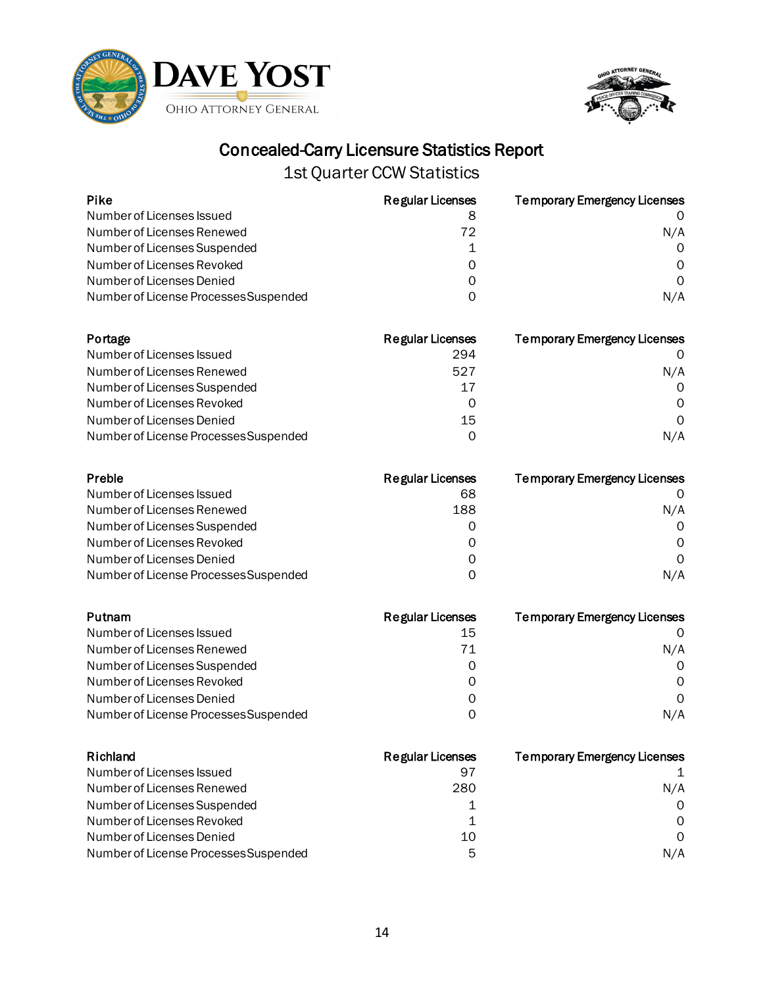



1st Quarter CCW Statistics

| <b>Pike</b>                                             | <b>Regular Licenses</b> | <b>Temporary Emergency Licenses</b> |
|---------------------------------------------------------|-------------------------|-------------------------------------|
| Number of Licenses Issued                               | 8                       | O                                   |
| Number of Licenses Renewed                              | 72                      | N/A                                 |
| Number of Licenses Suspended                            | 1                       | 0                                   |
| Number of Licenses Revoked<br>Number of Licenses Denied | 0                       | 0<br>$\Omega$                       |
|                                                         | 0<br>0                  | N/A                                 |
| Number of License Processes Suspended                   |                         |                                     |
| Portage                                                 | <b>Regular Licenses</b> | <b>Temporary Emergency Licenses</b> |
| Number of Licenses Issued                               | 294                     | 0                                   |
| Number of Licenses Renewed                              | 527                     | N/A                                 |
| Number of Licenses Suspended                            | 17                      | Ω                                   |
| Number of Licenses Revoked                              | $\Omega$                | Ω                                   |
| Number of Licenses Denied                               | 15                      | 0                                   |
| Number of License Processes Suspended                   | 0                       | N/A                                 |
| Preble                                                  | <b>Regular Licenses</b> | <b>Temporary Emergency Licenses</b> |
| Number of Licenses Issued                               | 68                      | 0                                   |
| Number of Licenses Renewed                              | 188                     | N/A                                 |
| Number of Licenses Suspended                            | 0                       | 0                                   |
| Number of Licenses Revoked                              | 0                       | 0                                   |
| Number of Licenses Denied                               | 0                       | 0                                   |
| Number of License Processes Suspended                   | 0                       | N/A                                 |
| Putnam                                                  | <b>Regular Licenses</b> | <b>Temporary Emergency Licenses</b> |
| Number of Licenses Issued                               | 15                      | 0                                   |
| Number of Licenses Renewed                              | 71                      | N/A                                 |
| Number of Licenses Suspended                            | 0                       | 0                                   |
| Number of Licenses Revoked                              | 0                       | 0                                   |
| Number of Licenses Denied                               | 0                       | 0                                   |
| Number of License Processes Suspended                   | 0                       | N/A                                 |
| Richland                                                | <b>Regular Licenses</b> | <b>Temporary Emergency Licenses</b> |
| Number of Licenses Issued                               | 97                      | 1                                   |
| Number of Licenses Renewed                              | 280                     | N/A                                 |
| Number of Licenses Suspended                            | 1                       | 0                                   |
| Number of Licenses Revoked                              | $\mathbf 1$             | 0                                   |
| Number of Licenses Denied                               | 10                      | 0                                   |

Number of Licenses Denied and the state of the state of the state of the state of the state of the state of the state of the state of the state of the state of the state of the state of the state of the state of the state Number of License Processes Suspended 5 N/A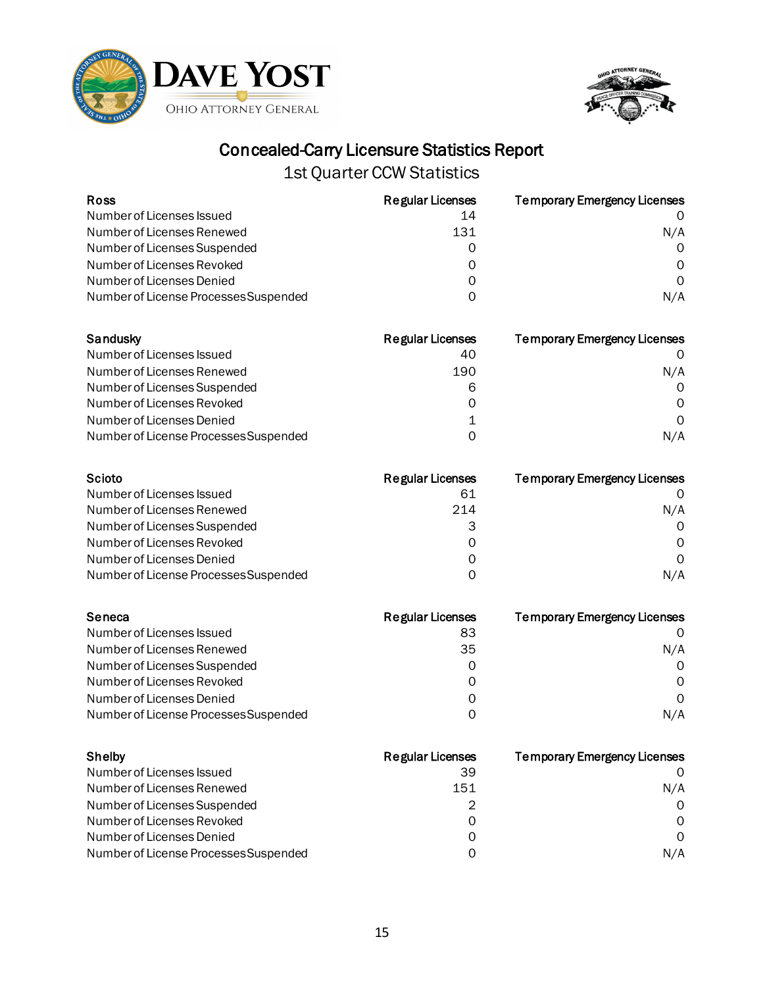



| <b>Ross</b>                           | Regular Licenses        | <b>Temporary Emergency Licenses</b> |
|---------------------------------------|-------------------------|-------------------------------------|
| Number of Licenses Issued             | 14                      |                                     |
| Number of Licenses Renewed            | 131                     | N/A                                 |
| Number of Licenses Suspended          |                         |                                     |
| Number of Licenses Revoked            |                         | O                                   |
| Number of Licenses Denied             |                         | 0                                   |
| Number of License Processes Suspended | Ω                       | N/A                                 |
|                                       |                         |                                     |
| Sandusky                              | <b>Regular Licenses</b> | <b>Temporary Emergency Licenses</b> |
| Number of Licenses Issued             | 40                      |                                     |
| Number of Licenses Renewed            | 190                     | N/A                                 |
| Number of Licenses Suspended          | 6                       | O                                   |
| Number of Licenses Revoked            | Ω                       | O                                   |
| Number of Licenses Denied             |                         | 0                                   |
| Number of License Processes Suspended | 0                       | N/A                                 |

| Scioto                                | Regular Licenses | <b>Temporary Emergency Licenses</b> |
|---------------------------------------|------------------|-------------------------------------|
| Number of Licenses Issued             | 61               |                                     |
| Number of Licenses Renewed            | 214              | N/A                                 |
| Number of Licenses Suspended          |                  | $\Omega$                            |
| Number of Licenses Revoked            | 0                | $\Omega$                            |
| Number of Licenses Denied             | 0                | $\Omega$                            |
| Number of License Processes Suspended | O                | N/A                                 |

| Seneca                                | <b>Regular Licenses</b> | <b>Temporary Emergency Licenses</b> |
|---------------------------------------|-------------------------|-------------------------------------|
| Number of Licenses Issued             | 83                      |                                     |
| Number of Licenses Renewed            | 35                      | N/A                                 |
| Number of Licenses Suspended          | O                       | $\Omega$                            |
| Number of Licenses Revoked            | O                       | 0                                   |
| Number of Licenses Denied             | Ω                       | $\Omega$                            |
| Number of License Processes Suspended | O                       | N/A                                 |

| Shelby                                | <b>Regular Licenses</b> | <b>Temporary Emergency Licenses</b> |
|---------------------------------------|-------------------------|-------------------------------------|
| Number of Licenses Issued             | 39                      |                                     |
| Number of Licenses Renewed            | 151                     | N/A                                 |
| Number of Licenses Suspended          | 2                       | $\Omega$                            |
| Number of Licenses Revoked            | 0                       | $\Omega$                            |
| Number of Licenses Denied             | Ω                       | $\Omega$                            |
| Number of License Processes Suspended | ი                       | N/A                                 |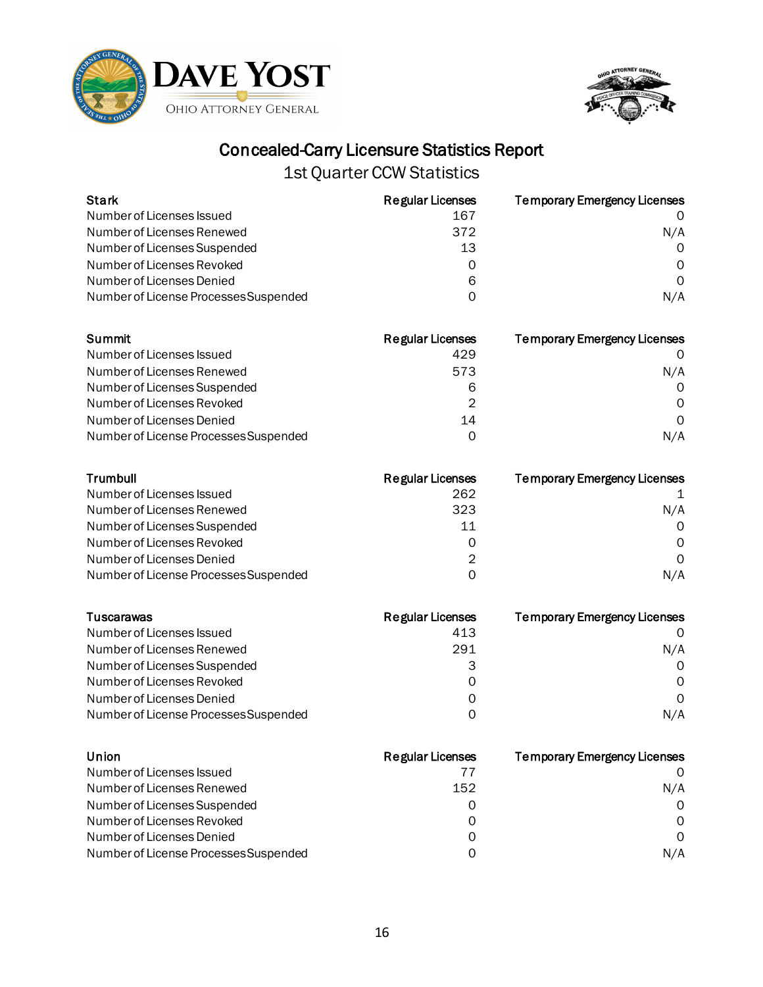



| <b>Stark</b>                                                                                                                                                                                            | <b>Regular Licenses</b>                                                 | <b>Temporary Emergency Licenses</b>                                     |
|---------------------------------------------------------------------------------------------------------------------------------------------------------------------------------------------------------|-------------------------------------------------------------------------|-------------------------------------------------------------------------|
| Number of Licenses Issued                                                                                                                                                                               | 167                                                                     | 0                                                                       |
| Number of Licenses Renewed                                                                                                                                                                              | 372                                                                     | N/A                                                                     |
| Number of Licenses Suspended                                                                                                                                                                            | 13                                                                      | 0                                                                       |
| Number of Licenses Revoked                                                                                                                                                                              | 0                                                                       | 0                                                                       |
| Number of Licenses Denied                                                                                                                                                                               | 6                                                                       | $\Omega$                                                                |
| Number of License Processes Suspended                                                                                                                                                                   | 0                                                                       | N/A                                                                     |
| Summit                                                                                                                                                                                                  | <b>Regular Licenses</b>                                                 | <b>Temporary Emergency Licenses</b>                                     |
| Number of Licenses Issued                                                                                                                                                                               | 429                                                                     | O                                                                       |
| Number of Licenses Renewed                                                                                                                                                                              | 573                                                                     | N/A                                                                     |
| Number of Licenses Suspended                                                                                                                                                                            | 6                                                                       | 0                                                                       |
| Number of Licenses Revoked                                                                                                                                                                              | 2                                                                       | Ω                                                                       |
| Number of Licenses Denied                                                                                                                                                                               | 14                                                                      | 0                                                                       |
| Number of License Processes Suspended                                                                                                                                                                   | 0                                                                       | N/A                                                                     |
| Trumbull<br>Number of Licenses Issued<br>Number of Licenses Renewed<br>Number of Licenses Suspended<br>Number of Licenses Revoked<br>Number of Licenses Denied<br>Number of License Processes Suspended | <b>Regular Licenses</b><br>262<br>323<br>11<br>0<br>$\overline{2}$<br>0 | <b>Temporary Emergency Licenses</b><br>N/A<br>0<br>0<br>$\Omega$<br>N/A |
| <b>Tuscarawas</b>                                                                                                                                                                                       | <b>Regular Licenses</b>                                                 | <b>Temporary Emergency Licenses</b>                                     |
| Number of Licenses Issued                                                                                                                                                                               | 413                                                                     | 0                                                                       |
| Number of Licenses Renewed                                                                                                                                                                              | 291                                                                     | N/A                                                                     |
| Number of Licenses Suspended                                                                                                                                                                            | 3                                                                       | 0                                                                       |
| Number of Licenses Revoked                                                                                                                                                                              | 0                                                                       | Ω                                                                       |
| Number of Licenses Denied                                                                                                                                                                               | 0                                                                       | $\Omega$                                                                |
| Number of License Processes Suspended                                                                                                                                                                   | 0                                                                       | N/A                                                                     |
| Union                                                                                                                                                                                                   | <b>Regular Licenses</b>                                                 | <b>Temporary Emergency Licenses</b>                                     |
| Number of Licenses Issued                                                                                                                                                                               | 77                                                                      | O                                                                       |
| Number of Licenses Renewed                                                                                                                                                                              | 152                                                                     | N/A                                                                     |
| Number of Licenses Suspended                                                                                                                                                                            | 0                                                                       | 0                                                                       |
| Number of Licenses Revoked                                                                                                                                                                              | 0                                                                       | 0                                                                       |
| Number of Licenses Denied                                                                                                                                                                               | 0                                                                       | 0                                                                       |
| Number of License Processes Suspended                                                                                                                                                                   | 0                                                                       | N/A                                                                     |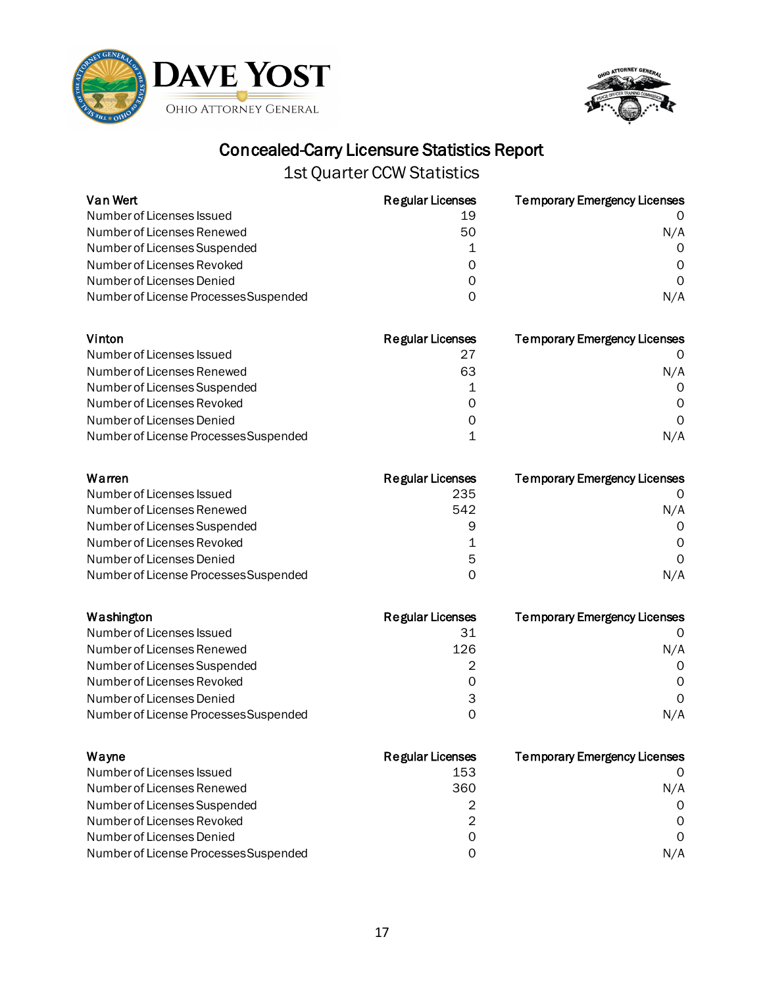



| Van Wert                              | <b>Regular Licenses</b> | <b>Temporary Emergency Licenses</b> |
|---------------------------------------|-------------------------|-------------------------------------|
| Number of Licenses Issued             | 19                      |                                     |
| Number of Licenses Renewed            | 50                      | N/A                                 |
| Number of Licenses Suspended          |                         | $\Omega$                            |
| Number of Licenses Revoked            | O                       | 0                                   |
| Number of Licenses Denied             | 0                       | 0                                   |
| Number of License Processes Suspended | O                       | N/A                                 |
| Vinton                                | <b>Regular Licenses</b> | <b>Temporary Emergency Licenses</b> |
| Number of Licenses Issued             | 27                      |                                     |
| Number of Licenses Renewed            | 63                      | N/A                                 |
| Number of Licenses Suspended          |                         |                                     |
| Number of Licenses Pevoked            | ∩                       | $\cap$                              |

| Warren                                | <b>Regular Licenses</b><br>--- | <b>Temporary Emergency Licenses</b> |
|---------------------------------------|--------------------------------|-------------------------------------|
| Number of License Processes Suspended |                                | N/A                                 |
| Number of Licenses Denied             | Ω                              |                                     |
| Number of Licenses Revoked            |                                |                                     |

| Number of Licenses Issued             | 235 | $\Omega$ |
|---------------------------------------|-----|----------|
| Number of Licenses Renewed            | 542 | N/A      |
| Number of Licenses Suspended          | 9   | 0        |
| Number of Licenses Revoked            |     | $\Omega$ |
| Number of Licenses Denied             | 5   | $\Omega$ |
| Number of License Processes Suspended |     | N/A      |

| Washington                            | <b>Regular Licenses</b> | <b>Temporary Emergency Licenses</b> |
|---------------------------------------|-------------------------|-------------------------------------|
| Number of Licenses Issued             | 31                      |                                     |
| Number of Licenses Renewed            | 126                     | N/A                                 |
| Number of Licenses Suspended          | 2                       | $\Omega$                            |
| Number of Licenses Revoked            | O                       | 0                                   |
| Number of Licenses Denied             | 3                       | $\Omega$                            |
| Number of License Processes Suspended | O                       | N/A                                 |

| Wayne                                 | <b>Regular Licenses</b> | <b>Temporary Emergency Licenses</b> |
|---------------------------------------|-------------------------|-------------------------------------|
| Number of Licenses Issued             | 153                     |                                     |
| Number of Licenses Renewed            | 360                     | N/A                                 |
| Number of Licenses Suspended          | 2                       | $\Omega$                            |
| Number of Licenses Revoked            | 2                       | $\Omega$                            |
| Number of Licenses Denied             | 0                       | $\Omega$                            |
| Number of License Processes Suspended | ი                       | N/A                                 |